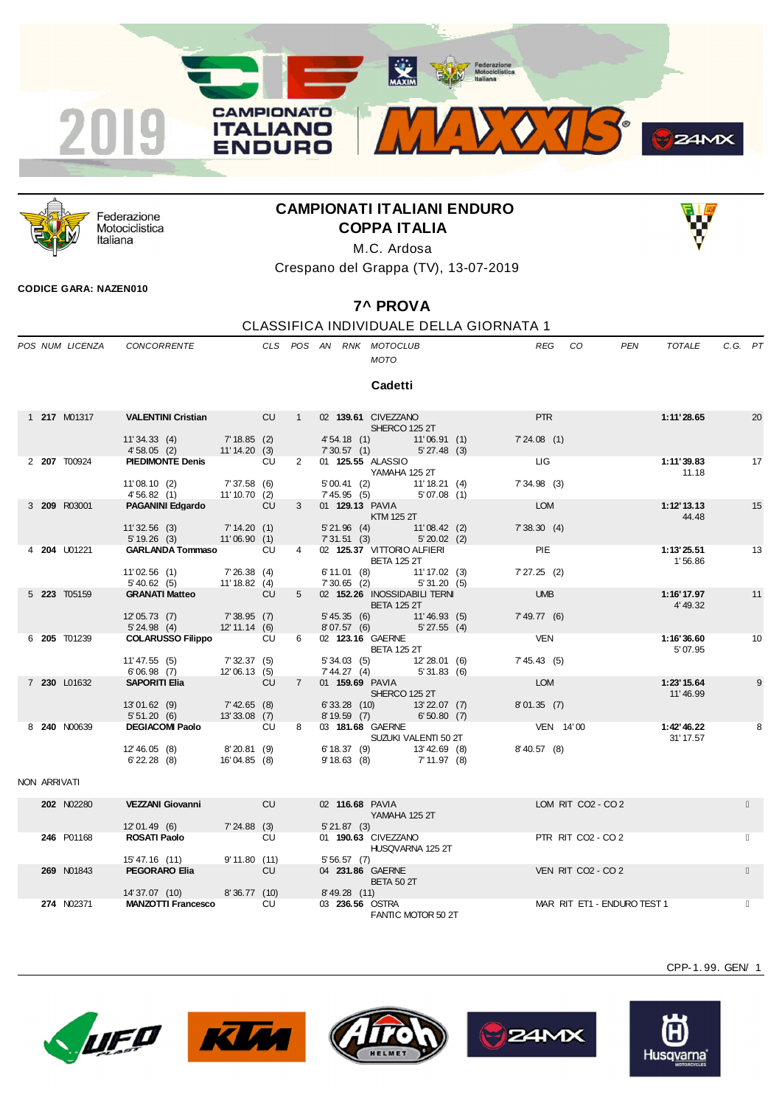



Federazione Motociclistica Italiana

LUFO

## **CAMPIONATI ITALIANI ENDURO COPPA ITALIA**

M.C. Ardosa

Crespano del Grappa (TV), 13-07-2019

**CODICE GARA: NAZEN010**

# **7^ PROVA**

# CLASSIFICA INDIVIDUALE DELLA GIORNATA 1

|              |                 |                                  |                                   |           |                |                              |                                                             | <u>ULAJJIFIUA INDIVIDUALE DELLA GIUNNATA T</u> |                    |                         |         |
|--------------|-----------------|----------------------------------|-----------------------------------|-----------|----------------|------------------------------|-------------------------------------------------------------|------------------------------------------------|--------------------|-------------------------|---------|
|              | POS NUM LICENZA | CONCORRENTE                      |                                   |           |                |                              | CLS POS AN RNK MOTOCLUB<br><b>MOTO</b>                      | <b>REG</b>                                     | CO<br>PEN          | <b>TOTALE</b>           | C.G. PT |
|              |                 |                                  |                                   |           |                |                              | Cadetti                                                     |                                                |                    |                         |         |
|              | 1 217 M01317    | <b>VALENTINI Cristian</b>        | <b>CU</b> CU                      |           | $\overline{1}$ |                              | 02 139.61 CIVEZZANO<br>SHERCO 125 2T                        | <b>PTR</b>                                     |                    | 1:11'28.65              | 20      |
|              |                 | 11'34.33(4)<br>4'58.05(2)        | $7' 18.85$ (2)<br>$11' 14.20$ (3) |           |                | 7'30.57(1)                   | 4'54.18 (1) 11'06.91 (1)<br>5'27.48(3)                      | 7'24.08(1)                                     |                    |                         |         |
|              | 2 207 T00924    | <b>PIEDIMONTE Denis</b>          |                                   | CU        | 2              |                              | 01 <b>125.55</b> ALASSIO<br>YAMAHA 125 2T                   | LIG.                                           |                    | 1:11'39.83<br>11.18     | 17      |
|              |                 | 11'08.10(2)<br>4'56.82(1)        | 7'37.58 (6)<br>11'10.70 (2)       |           |                |                              | 5' 00.41 (2) 11' 18.21 (4)<br>7' 45.95 (5) 5' 07.08 (1)     | 7'34.98(3)                                     |                    |                         |         |
|              | 3 209 R03001    | <b>PAGANINI Edgardo</b>          |                                   | <b>CU</b> | $3^{\circ}$    | 01 129.13 PAVIA              | KTM 125 2T                                                  | <b>LOM</b>                                     |                    | 1:12'13.13<br>44.48     | 15      |
|              |                 | 11'32.56(3)<br>5'19.26(3)        | 7' 14.20(1)<br>11'06.90(1)        |           |                |                              | $5'21.96$ (4) $11'08.42$ (2)<br>7'31.51(3)<br>$5'20.02$ (2) | 7'38.30(4)                                     |                    |                         |         |
|              | 4 204 U01221    | <b>GARLANDA Tommaso</b>          |                                   | CU        | $\overline{4}$ |                              | 02 125.37 VITTORIO ALFIERI<br><b>BETA 125 2T</b>            | PIE                                            |                    | 1:13'25.51<br>1'56.86   | 13      |
|              |                 | 11'02.56(1)<br>5' 40.62(5)       | 7'26.38(4)<br>$11' 18.82$ (4)     |           |                | $7'30.65$ (2)                | 6' 11.01 (8) 11' 17.02 (3)<br>5'31.20(5)                    | 7'27.25(2)                                     |                    |                         |         |
|              | 5 223 T05159    | <b>GRANATI Matteo</b>            |                                   | <b>CU</b> | $5 -$          |                              | 02 152.26 INOSSIDABILI TERNI<br><b>BETA 125 2T</b>          | <b>UMB</b>                                     |                    | 1:16' 17.97<br>4' 49.32 | 11      |
|              |                 | 12'05.73 (7)<br>5'24.98(4)       | 7'38.95(7)<br>12' 11.14 (6)       |           |                | 5' 45.35(6)<br>8'07.57(6)    | 11'46.93(5)<br>5'27.55(4)                                   | 7'49.77(6)                                     |                    |                         |         |
|              | 6 205 T01239    | <b>COLARUSSO Filippo</b>         |                                   | CU        | 6              | 02 123.16 GAERNE             | <b>BETA 125 2T</b>                                          | <b>VEN</b>                                     |                    | 1:16'36.60<br>5'07.95   | 10      |
|              |                 | 11'47.55 (5)<br>6'06.98(7)       | 7' 32.37 (5)<br>12'06.13 (5)      |           |                | 5' 34.03 (5)<br>7' 44.27(4)  | 12'28.01 (6)<br>5' 31.83 (6)                                | 7' 45.43(5)                                    |                    |                         |         |
|              | 7 230 L01632    | <b>SAPORITI Elia</b>             |                                   | <b>CU</b> | $7^{\circ}$    | 01 159.69 PAVIA              | SHERCO 125 2T                                               | <b>LOM</b>                                     |                    | 1:23' 15.64<br>11'46.99 | 9       |
|              |                 | $13'01.62$ (9)<br>5'51.20(6)     | 7'42.65 (8)<br>13'33.08 (7)       |           |                | $6'33.28$ (10)<br>8'19.59(7) | 13'22.07 (7)<br>6'50.80(7)                                  | 8'01.35(7)                                     |                    |                         |         |
|              | 8 240 N00639    | <b>DEGIACOMI Paolo</b>           | <b>Example 20</b>                 |           | 8              | 03 181.68 GAERNE             | SUZUKI VALENTI 50 2T                                        |                                                | VEN 14'00          | 1:42'46.22<br>31' 17.57 | 8       |
|              |                 | 12'46.05 (8)<br>$6'$ 22.28 $(8)$ | 8'20.81(9)<br>16'04.85 (8)        |           |                | 6' 18.37 (9)<br>9'18.63(8)   | 13'42.69 (8)<br>$7' 11.97$ (8)                              | $8'$ 40.57 (8)                                 |                    |                         |         |
| NON ARRIVATI |                 |                                  |                                   |           |                |                              |                                                             |                                                |                    |                         |         |
|              | 202 N02280      | <b>VEZZANI Giovanni</b>          |                                   | <b>CU</b> |                | 02 116.68 PAVIA              | YAMAHA 125 2T                                               |                                                | LOM RIT CO2 - CO2  |                         |         |
|              |                 | 12'01.49 (6)                     | 7'24.88(3)                        |           |                | 5'21.87(3)                   |                                                             |                                                |                    |                         |         |
|              | 246 P01168      | <b>ROSATI Paolo</b>              |                                   | CU        |                |                              | 01 190.63 CIVEZZANO<br>HUSQVARNA 125 2T                     |                                                | PTR RIT CO2 - CO 2 |                         |         |
|              |                 | 15' 47.16 (11)                   | 9'11.80(11)                       |           |                | 5'56.57(7)                   |                                                             |                                                |                    |                         |         |

**269** N01843 **PEGORARO Elia** CU 04 **231.86** GAERNE VEN RIT CO2 - CO 2

BETA 50 2T<br>8' 49.28 (11)

**274** N02371 **MANZOTTI Francesco** CU 03 **236.56** OSTRA MAR RIT ET1 - ENDURO TEST 1

15' 47.16 (11) 9' 11.80 (11) 5' 56.57 (7)<br> **PEGORARO Elia** CU 04 **231.86** GAERNE

14' 37.07 (10) 8' 36.77 (10) 8' 49.28 (11)<br>MANZOTTI Francesco CU 03 236.56 OSTRA



FANTIC MOTOR 50 2T





CPP-1. 99. GEN/ 1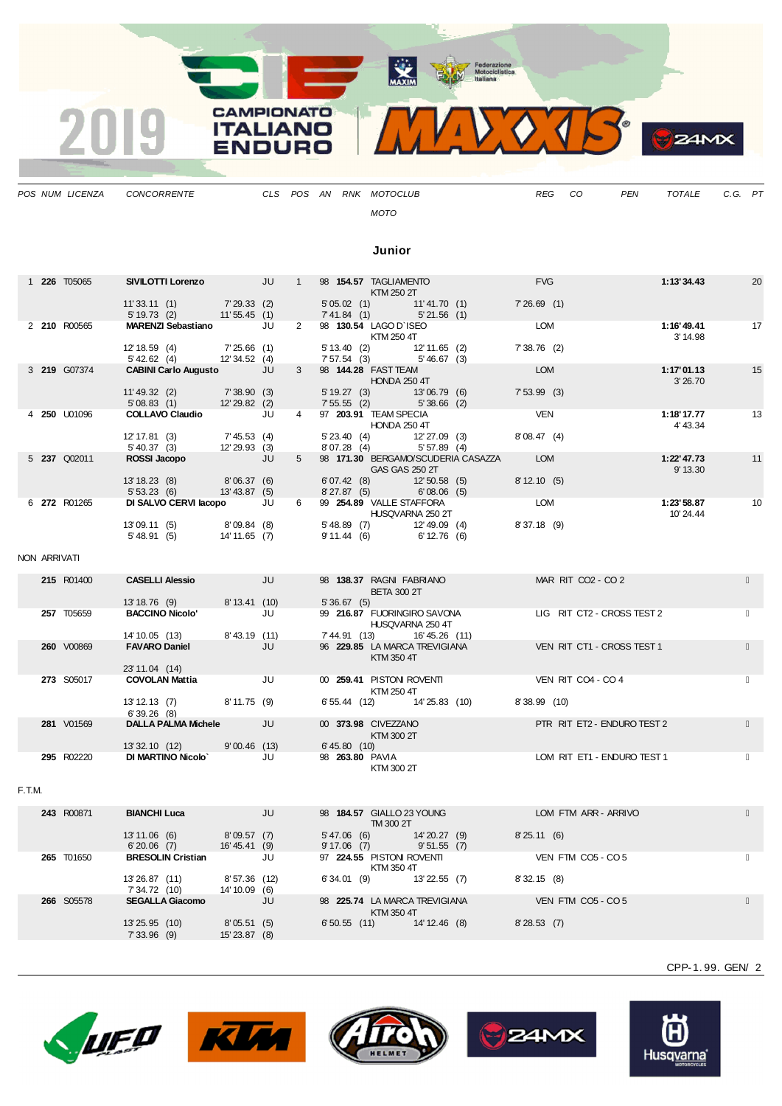

*POS NUM LICENZA CONCORRENTE CLS POS AN RNK MOTOCLUB REG CO PEN TOTALE C.G. PT MOTO*

#### **Junior**

|        |              | 1 226 T05065        | SIVILOTTI Lorenzo JU 1 98 154.57 TAGLIAMENTO                                                                                                                                                 |                  |  |            |                                                                   | <b>FVG</b>                  | 1:13'34.43                | 20 |
|--------|--------------|---------------------|----------------------------------------------------------------------------------------------------------------------------------------------------------------------------------------------|------------------|--|------------|-------------------------------------------------------------------|-----------------------------|---------------------------|----|
|        |              |                     | 11'33.11 (1) 7'29.33 (2) 5'05.02 (1) KTM 250 2T<br>5'05.02 (1) 5'19.73 (2) 11'55.45 (1) 7'41.84 (1) 5'19.73 (2) 11'55.45 (1) 7'41.84 (1)                                                     |                  |  |            |                                                                   | 7'26.69(1)                  |                           |    |
|        |              | 2 210 R00565        | MARENZI Sebastiano JU                                                                                                                                                                        |                  |  |            | 2 98 130.54 LAGO D'ISEO<br><b>KTM 250 4T</b>                      | LOM                         | 1:16'49.41 17<br>3' 14.98 |    |
|        |              |                     | 12'18.59 (4) 7'25.66 (1)<br>5'42.62 (4) 12'34.52 (4)                                                                                                                                         |                  |  |            | 5' 13.40 (2) 12' 11.65 (2)<br>7' 57.54 (3) 5' 46.67 (3)           | 7'38.76(2)                  |                           |    |
|        |              | 3 219 G07374        | CABINI Carlo Augusto JU                                                                                                                                                                      |                  |  |            | 3 98 144.28 FAST TEAM                                             | <b>LOM</b>                  | 1:17'01.13<br>3'26.70     | 15 |
|        |              |                     | HONDA 250 4T<br>11'49.32 (2) 7'38.90 (3) 5'19.27 (3) 13'06.79 (6)<br>5'08.83 (1) 12'29.82 (2) 7'55.55 (2) 5'38.66 (2)<br>COLLAVO Claudio JU 4 97 203.91 TEAM SPECIA                          |                  |  |            |                                                                   | 7'53.99(3)                  |                           |    |
|        |              | 4 <b>250</b> U01096 |                                                                                                                                                                                              |                  |  |            | HONDA 250 4T                                                      | <b>VEN</b>                  | 1:18'17.77<br>4' 43.34    | 13 |
|        |              |                     | 12' 17.81 (3) 7' 45.53 (4)<br>5' 40.37 (3) 12' 29.93 (3)<br><b>ROSSI Jacopo</b> JU 5                                                                                                         |                  |  |            | 5' 23.40 (4) 12' 27.09 (3)<br>$8'07.28$ (4) $5'57.89$ (4)         | 8'08.47(4)                  |                           |    |
|        |              | 5 237 Q02011        |                                                                                                                                                                                              |                  |  |            | 5 98 171.30 BERGAMO/SCUDERIA CASAZZA LOM<br><b>GAS GAS 250 2T</b> |                             | 1:22'47.73<br>9' 13.30    | 11 |
|        |              |                     | 13'18.23 (8) 8'06.37 (6)<br>13'18.23 (8) 8'06.37 (6) 6'07.42 (8) 12'50.58 (5)<br>5'53.23 (6) 13'43.87 (5) 8'27.87 (5) 6'08.06 (5)                                                            |                  |  |            |                                                                   | 8'12.10(5)                  |                           |    |
|        |              | 6 272 R01265        | <b>DI SALVO CERVI lacopo</b><br>13 09.11 (5) 8'09.84 (8) 6'39 254.89 VALLE STAFFORA<br>13 09.11 (5) 8'09.84 (8) 5'48.89 (7) 12'49.09 (4)<br>5'48.91 (5) 14'11.65 (7) 9'11.44 (6) 6'12.76 (6) |                  |  |            |                                                                   | LOM                         | 1:23'58.87<br>10'24.44    | 10 |
|        |              |                     |                                                                                                                                                                                              |                  |  |            |                                                                   | 8'37.18(9)                  |                           |    |
|        | NON ARRIVATI |                     |                                                                                                                                                                                              |                  |  |            |                                                                   |                             |                           |    |
|        |              | 215 R01400          | <b>CASELLI Alessio</b> JU                                                                                                                                                                    |                  |  |            | 98 138.37 RAGNI FABRIANO<br><b>BETA 300 2T</b>                    | MAR RIT CO2 - CO 2          |                           |    |
|        |              |                     | 13' 18.76 (9) 8' 13.41 (10)<br><b>BACCINO Nicolo'</b> 3U                                                                                                                                     |                  |  | 5'36.67(5) |                                                                   |                             |                           |    |
|        |              | 257 T05659          |                                                                                                                                                                                              |                  |  |            | 99 216.87 FUORINGIRO SAVONA<br><b>HUSQVARNA 250 4T</b>            | LIG RIT CT2 - CROSS TEST 2  |                           |    |
|        |              |                     | 14' 10.05 (13) 8' 43.19 (11)<br><b>FAVARO Daniel</b> JU                                                                                                                                      |                  |  |            | 7' 44.91 (13) 16' 45.26 (11)                                      |                             |                           |    |
|        |              | 260 V00869          | 23' 11.04 (14)                                                                                                                                                                               | <b>ULL STATE</b> |  |            | 96 229.85 LA MARCA TREVIGIANA<br>KTM 350 4T                       | VEN RIT CT1 - CROSS TEST 1  |                           |    |
|        |              | 273 S05017          |                                                                                                                                                                                              |                  |  |            | 00 259.41 PISTON ROVENTI<br>KTM 250 4T                            | VEN RIT CO4 - CO 4          |                           |    |
|        |              |                     | 13' 12.13 (7) 8' 11.75 (9)<br>6'39.26(8)                                                                                                                                                     |                  |  |            | 6' 55.44 (12) 14' 25.83 (10)                                      | 8'38.99 (10)                |                           |    |
|        |              | 281 V01569          | DALLA PALMA Michele JU                                                                                                                                                                       |                  |  |            | 00 373.98 CIVEZZANO<br><b>Example 25 KTM 300 2T</b>               | PTR RIT ET2 - ENDURO TEST 2 |                           |    |
|        |              |                     | 13'32.10 (12) 9'00.46 (13)                                                                                                                                                                   |                  |  |            | 6' 45.80 (10)                                                     |                             |                           |    |
|        |              | 295 R02220          | <b>DI MARTINO Nicolo XII ANDI JUNGARY DI MARTINO Nicolo</b>                                                                                                                                  |                  |  |            | 98 <b>263.80</b> PAVIA<br>KTM 300 2T                              | LOM RIT ET1 - ENDURO TEST 1 |                           |    |
| F.T.M. |              |                     |                                                                                                                                                                                              |                  |  |            |                                                                   |                             |                           |    |
|        |              | 243 R00871          | <b>BIANCHI Luca</b> JU                                                                                                                                                                       |                  |  |            | 98 184.57 GIALLO 23 YOUNG<br>TM3002T                              | LOM FTM ARR - ARRIVO        |                           |    |
|        |              |                     | 13'11.06 (6) 8'09.57 (7)<br>6'20.06 (7) 16'45.41 (9)                                                                                                                                         |                  |  |            | 5' 47.06 (6) 14' 20.27 (9)<br>9' 17.06 (7) 9' 51.55 (7)           | 8'25.11(6)                  |                           |    |
|        |              | 265 T01650          | BRESOLIN Cristian JU                                                                                                                                                                         |                  |  |            | 97 224.55 PISTON ROVENTI                                          | VEN FTM CO5 - CO5           |                           |    |

|            | 13'11.06 (6)                   | 8'09.57(7)                    | $5' 47.06$ (6) | 14'20.27 (9)  | 8'25.11(6)                                                                                         |  |
|------------|--------------------------------|-------------------------------|----------------|---------------|----------------------------------------------------------------------------------------------------|--|
|            |                                | 16'45.41 (9)                  | 9'17.06(7)     | 9'51.55(7)    |                                                                                                    |  |
| 265 T01650 | <b>BRESOLIN Cristian</b>       | JU                            |                |               | VEN FTM CO5 - CO5                                                                                  |  |
|            | 13'26.87 (11)<br>7' 34.72 (10) | 8'57.36 (12)<br>14' 10.09 (6) | 6'34.01(9)     | 13'22.55 (7)  | 8'32.15(8)                                                                                         |  |
| 266 S05578 | <b>SEGALLA Giacomo</b>         | JU                            |                |               | VEN FTM CO5 - CO5                                                                                  |  |
|            | 13'25.95 (10)<br>7'33.96(9)    | 8'05.51(5)<br>15'23.87 (8)    | $6'50.55$ (11) | 14' 12.46 (8) | 8'28.53(7)                                                                                         |  |
|            |                                | 6'20.06(7)                    |                |               | TM 300 2T<br>97 224.55 PISTON ROVENTI<br>KTM 350 4T<br>98 225.74 LA MARCA TREVIGIANA<br>KTM 350 4T |  |











CPP-1. 99. GEN/ 2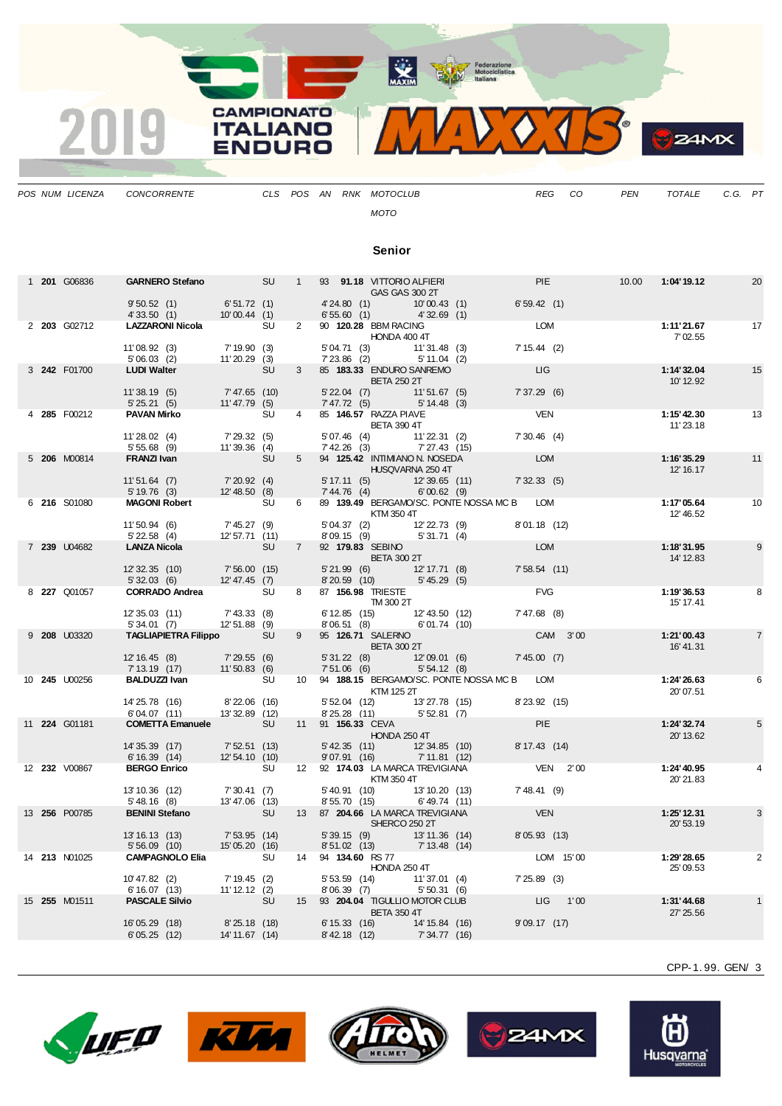

*POS NUM LICENZA CONCORRENTE CLS POS AN RNK MOTOCLUB REG CO PEN TOTALE C.G. PT MOTO*

#### **Senior**

|  | 1 201 G06836         | <b>GARNERO Stefano</b>                                                                                                                             | <b>SURFACE SURFACE</b>                                                                                                    |           |             | 1 93 91.18 VITTORIO ALFIERI                                  | <b>GAS GAS 300 2T</b>          |                                                         | PIE           | 10.00 | 1:04'19.12               | 20 |
|--|----------------------|----------------------------------------------------------------------------------------------------------------------------------------------------|---------------------------------------------------------------------------------------------------------------------------|-----------|-------------|--------------------------------------------------------------|--------------------------------|---------------------------------------------------------|---------------|-------|--------------------------|----|
|  |                      | 9'50.52(1)<br>4'33.50(1)                                                                                                                           | $6'51.72(1)$<br>$10'00.44(1)$                                                                                             |           |             |                                                              |                                | 4' 24.80 (1) 10' 00.43 (1)<br>6' 55.60 (1) 4' 32.69 (1) | 6'59.42(1)    |       |                          |    |
|  | 2 203 G02712         | LAZZARONI Nicola SU                                                                                                                                |                                                                                                                           |           |             | 2 90 120.28 BBM RACING<br>$F(0.471)$ $F(0.400)$ 4T           |                                |                                                         | LOM           |       | 1:11'21.67<br>7' 02.55   | 17 |
|  |                      | 11'08.92 (3)<br>$5'06.03$ (3) $7'19.90$ (3)<br>5'06.03 (2) $11'20$ compared to $11'20$ compared to $11'20$ compared to $1100$ M/s in $\frac{1}{2}$ |                                                                                                                           |           |             | 5' 04.71 (3) 11' 31.48 (3)<br>7' 23.86 (2) 5' 11.04 (2)      |                                |                                                         | 7'15.44(2)    |       |                          |    |
|  | 3 242 F01700         | <b>LUDI Walter</b>                                                                                                                                 |                                                                                                                           | <b>SU</b> |             | 3 85 183.33 ENDURO SANREMO                                   | <b>EXAMPLE THE BETA 250 2T</b> |                                                         | <b>LIG</b>    |       | 1:14'32.04<br>10' 12.92  | 15 |
|  |                      | 11'38.19(5)<br>5'25.21(5)                                                                                                                          | 7'47.65 (10)<br>11'47.79 (5)                                                                                              |           |             | 5' 22.04 (7) 11' 51.67 (5)<br>7' 47.72 (5) 5' 14.48 (3)      |                                |                                                         | 7'37.29(6)    |       |                          |    |
|  | 4 285 F00212         | <b>PAVAN Mirko</b>                                                                                                                                 |                                                                                                                           | SU        | $4 \quad$   | 85 146.57 RAZZA PIAVE<br><b>BETA 390 4T</b>                  |                                |                                                         | <b>VEN</b>    |       | 1:15' 42.30<br>11' 23.18 | 13 |
|  |                      | $5'$ 55.68 (9) $7'$ 29.32 (5)<br><b>FRANT</b><br>11'28.02 (4)                                                                                      |                                                                                                                           |           |             | 5'07.46 (4) 11'22.31 (2)<br>$7'42.26$ (3) $7'27.43$ (15)     |                                |                                                         | 7'30.46(4)    |       |                          |    |
|  | 5 206 M00814         | <b>FRANZI Ivan</b>                                                                                                                                 | <b>SURFACE SURFACE SURFACE SURFACE SURFACE SURFACE SURFACE SURFACE SURFACE SURFACE SURFACE SURFACE SURFACE SURFACE SU</b> |           |             | 5 94 125.42 INTIMIANO N. NOSEDA                              |                                |                                                         | LOM           |       | 1:16'35.29               | 11 |
|  |                      | 11'51.64 (7)                                                                                                                                       | 7'20.92(4)                                                                                                                |           |             |                                                              | <b>HUSQVARNA 250 4T</b>        |                                                         | 7'32.33(5)    |       | 12' 16.17                |    |
|  |                      | 5'19.76(3)                                                                                                                                         | 12'48.50 (8)                                                                                                              |           |             | 5' 17.11 (5) 12' 39.65 (11)<br>7' 44.76 (4) 6' 00.62 (9)     |                                |                                                         |               |       |                          |    |
|  | 6 216 S01080         | <b>MAGONI Robert</b>                                                                                                                               |                                                                                                                           | <b>SU</b> | 6           | <b>KTM 350 4T</b>                                            |                                | 89 139.49 BERGAMO/SC. PONTE NOSSA MC B LOM              |               |       | 1:17'05.64<br>12' 46.52  | 10 |
|  |                      | 11'50.94 (6)<br>$5'$ 22.58 (4) $7'$ 45.27 (9)<br>$5'$ 22.58 (4) $12'$ 57.74 (1)                                                                    | 12' 57.71 (11)                                                                                                            |           |             | 5'04.37 (2) 12'22.73 (9)<br>8'09.15 (9) 5'31.71 (4)          |                                |                                                         | 8'01.18 (12)  |       |                          |    |
|  | 7 239 U04682         | <b>LANZA Nicola</b>                                                                                                                                | <b>SURFACE SURFACE SURFACE SURFACE SURFACE SURFACE SURFACE SURFACE SURFACE SURFACE SURFACE SURFACE SU</b>                 |           |             | 7 92 <b>179.83</b> SEBINO<br>BETA 300 2T                     |                                |                                                         | <b>LOM</b>    |       | 1:18'31.95<br>14' 12.83  | 9  |
|  |                      | 12' 32.35 (10)                                                                                                                                     | 7'56.00(15)                                                                                                               |           |             | 5' 21.99 (6) 12' 17.71 (8)<br>8' 20.59 (10) 5' 45.29 (5)     |                                |                                                         | 7'58.54 (11)  |       |                          |    |
|  | 8 227 Q01057         | $5'32.03$ (6) $12'47.45$ (7)<br>CORRADO Andrea SU                                                                                                  |                                                                                                                           |           |             | 8 87 156.98 TRIESTE                                          |                                |                                                         | <b>FVG</b>    |       | 1:19'36.53               | 8  |
|  |                      |                                                                                                                                                    |                                                                                                                           |           |             | TMS002T                                                      |                                |                                                         | $7'47.68$ (8) |       | 15' 17.41                |    |
|  |                      | 12' 35.03 (11)<br>$5'34.01$ (7) $12'51.88$ (9)                                                                                                     | 7' 43.33(8)                                                                                                               |           |             | $6'12.85$ (15) $12'43.50$ (12)<br>8'06.51 (8) $6'01.74$ (10) |                                |                                                         |               |       |                          |    |
|  | 9 208 U03320         | TAGLIAPIETRA Filippo SU                                                                                                                            |                                                                                                                           |           | $9^{\circ}$ | 95 126.71 SALERNO<br>BETA 300 2T                             |                                |                                                         | CAM 3'00      |       | 1:21'00.43<br>16' 41.31  |    |
|  |                      | 12' 16.45 (8)<br>7'13.19 (17) 11'50.83 (6)                                                                                                         | 7'29.55 (6)                                                                                                               |           |             | 5' 31.22 (8) 12' 09.01 (6)<br>7' 51.06 (6) 5' 54.12 (8)      |                                |                                                         | 7'45.00(7)    |       |                          |    |
|  | 10 245 U00256        | <b>BALDUZZI Ivan</b>                                                                                                                               | <b>SU</b>                                                                                                                 |           |             |                                                              | <b>KTM 125 2T</b>              | 10 94 188.15 BERGAMO/SC. PONTE NOSSA MC B LOM           |               |       | 1:24'26.63               |    |
|  |                      | 14' 25.78 (16) 8' 22.06 (16)<br>6' 04.07 (11) 13' 32.89 (12)                                                                                       |                                                                                                                           |           |             | 5' 52.04 (12) 13' 27.78 (15)                                 |                                |                                                         | 8'23.92 (15)  |       | 20'07.51                 |    |
|  | 11 224 G01181        | <b>COMETTA Emanuele</b> SU                                                                                                                         |                                                                                                                           |           |             | $8'25.28$ (11) $5'52.81$ (7)<br>11 91 156.33 CEVA            |                                |                                                         | <b>PIE</b>    |       | 1:24'32.74               |    |
|  |                      |                                                                                                                                                    |                                                                                                                           |           |             |                                                              | <b>HONDA 250 4T</b>            |                                                         |               |       | 20' 13.62                |    |
|  |                      | 14' 35.39 (17)<br>6' 16.39 (14) 12' 54.10 (10)                                                                                                     | 7'52.51(13)                                                                                                               |           |             | 5' 42.35 (11) 12' 34.85 (10)<br>9' 07.91 (16) 7' 11.81 (12)  |                                |                                                         | 8' 17.43 (14) |       |                          |    |
|  | 12 232 V00867        | <b>BERGO Enrico</b>                                                                                                                                |                                                                                                                           | SU        |             | 12 92 174.03 LA MARCA TREVIGIANA                             | <b>KTM 350 4T</b>              |                                                         | VEN 2'00      |       | 1:24' 40.95<br>20'21.83  |    |
|  |                      | 13' 10.36 (12) 7' 30.41 (7)<br>5' 48.16 (8) 13' 47.06 (13)<br>5'48.16 (8)                                                                          | 13'47.06 (13)                                                                                                             |           |             | 5' 40.91 (10) 13' 10.20 (13)<br>8' 55.70 (15) 6' 49.74 (11)  |                                |                                                         | 7'48.41(9)    |       |                          |    |
|  | 13 <b>256</b> P00785 | <b>BENINI Stefano</b>                                                                                                                              | <b>SURFERENCE</b>                                                                                                         |           |             | 13 87 204.66 LA MARCA TREVIGIANA                             | SHERCO 250 2T                  |                                                         | <b>VEN</b>    |       | 1:25' 12.31<br>20'53.19  |    |
|  |                      | 13' 16.13 (13) 7' 53.95 (14)<br>5' 56.09 (10) 15' 05.20 (16)                                                                                       |                                                                                                                           |           |             | 5' 39.15 (9) 13' 11.36 (14)<br>8' 51.02 (13) 7' 13.48 (14)   |                                |                                                         | 8'05.93 (13)  |       |                          |    |
|  | 14 213 N01025        | <b>CAMPAGNOLO Elia</b> SU                                                                                                                          |                                                                                                                           |           |             | 14 94 134.60 RS 77                                           | HONDA 250 4T                   |                                                         | LOM 15'00     |       | 1:29'28.65               | 2  |
|  |                      | 10'47.82 (2)<br>$6'16.07$ (13) $7'19.45$ (2)<br><b>PASCALE</b>                                                                                     |                                                                                                                           |           |             | 5' 53.59 (14) 11' 37.01 (4)<br>8' 06.39 (7) 5' 50.31 (6)     |                                |                                                         | 725.89(3)     |       | 25'09.53                 |    |
|  | 15 <b>255</b> M01511 | <b>PASCALE Silvio</b>                                                                                                                              | <b>SU</b>                                                                                                                 |           |             | 15 93 204.04 TIGULLIO MOTOR CLUB                             |                                |                                                         | LIG 1'00      |       | 1:31'44.68               |    |
|  |                      |                                                                                                                                                    |                                                                                                                           |           |             |                                                              | <b>BETA 350 4T</b>             |                                                         |               |       | 27' 25.56                |    |
|  |                      | 16'05.29 (18)<br>6'05.25(12)                                                                                                                       | 8'25.18 (18)<br>14' 11.67 (14)                                                                                            |           |             | 6' 15.33 (16) 14' 15.84 (16)<br>8' 42.18 (12) 7' 34.77 (16)  |                                |                                                         | 9'09.17(17)   |       |                          |    |
|  |                      |                                                                                                                                                    |                                                                                                                           |           |             |                                                              |                                |                                                         |               |       |                          |    |

CPP-1. 99. GEN/ 3









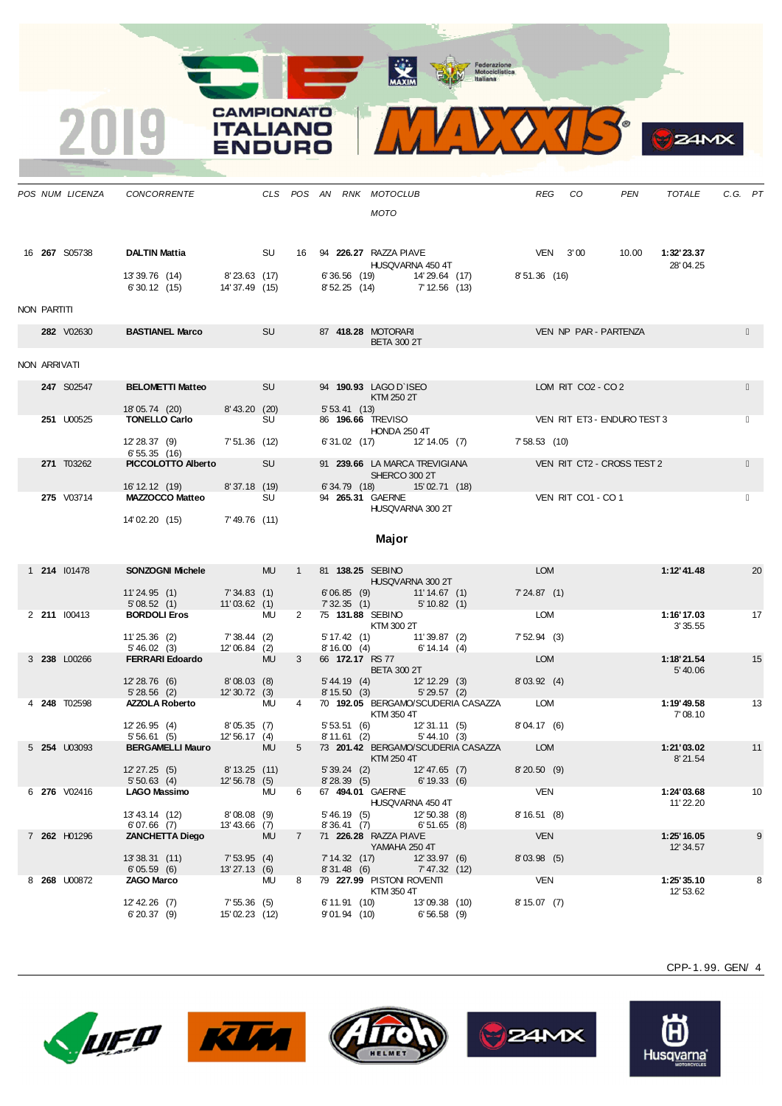

CAMPIONATO **ITALIANO** 

VOURC













CPP-1. 99. GEN/ 4

 $24MX$